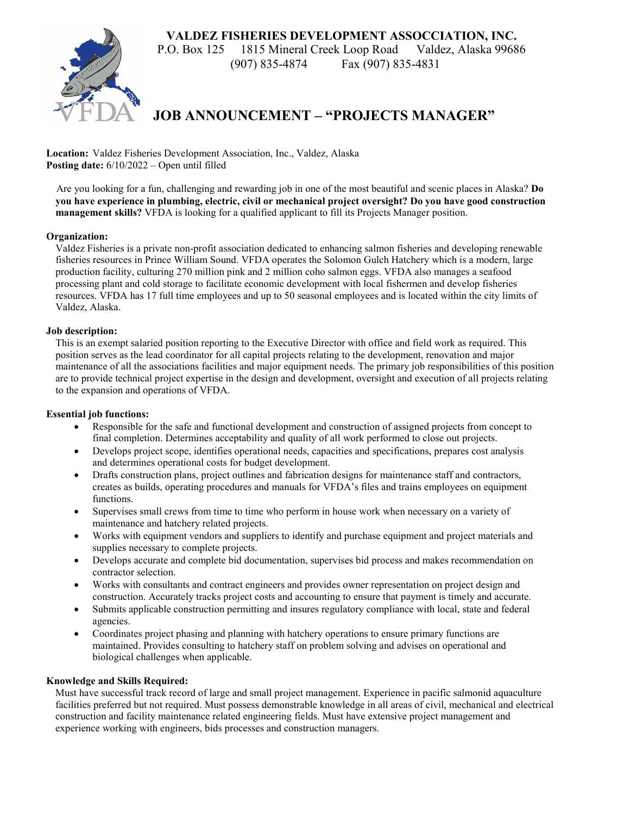# **VALDEZ FISHERIES DEVELOPMENT ASSOCCIATION, INC.**



P.O. Box 125 1815 Mineral Creek Loop Road Valdez, Alaska 99686 (907) 835-4874 Fax (907) 835-4831

# **JOB ANNOUNCEMENT – "PROJECTS MANAGER"**

**Location:** Valdez Fisheries Development Association, Inc., Valdez, Alaska **Posting date:** 6/10/2022 – Open until filled

Are you looking for a fun, challenging and rewarding job in one of the most beautiful and scenic places in Alaska? **Do you have experience in plumbing, electric, civil or mechanical project oversight? Do you have good construction management skills?** VFDA is looking for a qualified applicant to fill its Projects Manager position.

# **Organization:**

Valdez Fisheries is a private non-profit association dedicated to enhancing salmon fisheries and developing renewable fisheries resources in Prince William Sound. VFDA operates the Solomon Gulch Hatchery which is a modern, large production facility, culturing 270 million pink and 2 million coho salmon eggs. VFDA also manages a seafood processing plant and cold storage to facilitate economic development with local fishermen and develop fisheries resources. VFDA has 17 full time employees and up to 50 seasonal employees and is located within the city limits of Valdez, Alaska.

# **Job description:**

This is an exempt salaried position reporting to the Executive Director with office and field work as required. This position serves as the lead coordinator for all capital projects relating to the development, renovation and major maintenance of all the associations facilities and major equipment needs. The primary job responsibilities of this position are to provide technical project expertise in the design and development, oversight and execution of all projects relating to the expansion and operations of VFDA.

# **Essential job functions:**

- Responsible for the safe and functional development and construction of assigned projects from concept to final completion. Determines acceptability and quality of all work performed to close out projects.
- Develops project scope, identifies operational needs, capacities and specifications, prepares cost analysis and determines operational costs for budget development.
- Drafts construction plans, project outlines and fabrication designs for maintenance staff and contractors, creates as builds, operating procedures and manuals for VFDA's files and trains employees on equipment functions.
- Supervises small crews from time to time who perform in house work when necessary on a variety of maintenance and hatchery related projects.
- Works with equipment vendors and suppliers to identify and purchase equipment and project materials and supplies necessary to complete projects.
- Develops accurate and complete bid documentation, supervises bid process and makes recommendation on contractor selection.
- Works with consultants and contract engineers and provides owner representation on project design and construction. Accurately tracks project costs and accounting to ensure that payment is timely and accurate.
- Submits applicable construction permitting and insures regulatory compliance with local, state and federal agencies.
- Coordinates project phasing and planning with hatchery operations to ensure primary functions are maintained. Provides consulting to hatchery staff on problem solving and advises on operational and biological challenges when applicable.

#### **Knowledge and Skills Required:**

Must have successful track record of large and small project management. Experience in pacific salmonid aquaculture facilities preferred but not required. Must possess demonstrable knowledge in all areas of civil, mechanical and electrical construction and facility maintenance related engineering fields. Must have extensive project management and experience working with engineers, bids processes and construction managers.